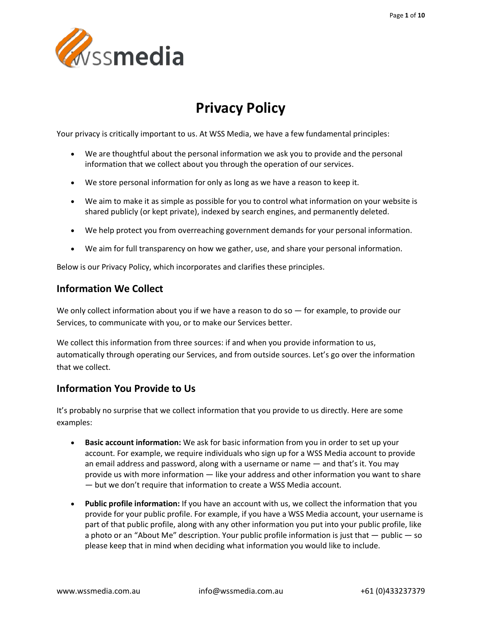

# **Privacy Policy**

Your privacy is critically important to us. At WSS Media, we have a few fundamental principles:

- We are thoughtful about the personal information we ask you to provide and the personal information that we collect about you through the operation of our services.
- We store personal information for only as long as we have a reason to keep it.
- We aim to make it as simple as possible for you to control what information on your website is shared publicly (or kept private), indexed by search engines, and permanently deleted.
- We help protect you from overreaching government demands for your personal information.
- We aim for full transparency on how we gather, use, and share your personal information.

Below is our Privacy Policy, which incorporates and clarifies these principles.

### **Information We Collect**

We only collect information about you if we have a reason to do so — for example, to provide our Services, to communicate with you, or to make our Services better.

We collect this information from three sources: if and when you provide information to us, automatically through operating our Services, and from outside sources. Let's go over the information that we collect.

### **Information You Provide to Us**

It's probably no surprise that we collect information that you provide to us directly. Here are some examples:

- **Basic account information:** We ask for basic information from you in order to set up your account. For example, we require individuals who sign up for a WSS Media account to provide an email address and password, along with a username or name — and that's it. You may provide us with more information — like your address and other information you want to share — but we don't require that information to create a WSS Media account.
- **Public profile information:** If you have an account with us, we collect the information that you provide for your public profile. For example, if you have a WSS Media account, your username is part of that public profile, along with any other information you put into your public profile, like a photo or an "About Me" description. Your public profile information is just that — public — so please keep that in mind when deciding what information you would like to include.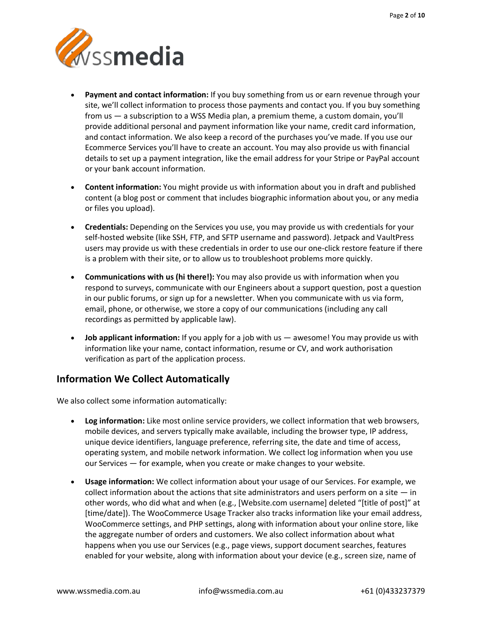

- **Payment and contact information:** If you buy something from us or earn revenue through your site, we'll collect information to process those payments and contact you. If you buy something from us — a subscription to a WSS Media plan, a premium theme, a custom domain, you'll provide additional personal and payment information like your name, credit card information, and contact information. We also keep a record of the purchases you've made. If you use our Ecommerce Services you'll have to create an account. You may also provide us with financial details to set up a payment integration, like the email address for your Stripe or PayPal account or your bank account information.
- **Content information:** You might provide us with information about you in draft and published content (a blog post or comment that includes biographic information about you, or any media or files you upload).
- **Credentials:** Depending on the Services you use, you may provide us with credentials for your self-hosted website (like SSH, FTP, and SFTP username and password). Jetpack and VaultPress users may provide us with these credentials in order to use our one-click restore feature if there is a problem with their site, or to allow us to troubleshoot problems more quickly.
- **Communications with us (hi there!):** You may also provide us with information when you respond to surveys, communicate with our Engineers about a support question, post a question in our public forums, or sign up for a newsletter. When you communicate with us via form, email, phone, or otherwise, we store a copy of our communications (including any call recordings as permitted by applicable law).
- **Job applicant information:** If you apply for a job with us awesome! You may provide us with information like your name, contact information, resume or CV, and work authorisation verification as part of the application process.

# **Information We Collect Automatically**

We also collect some information automatically:

- **Log information:** Like most online service providers, we collect information that web browsers, mobile devices, and servers typically make available, including the browser type, IP address, unique device identifiers, language preference, referring site, the date and time of access, operating system, and mobile network information. We collect log information when you use our Services — for example, when you create or make changes to your website.
- **Usage information:** We collect information about your usage of our Services. For example, we collect information about the actions that site administrators and users perform on a site  $-$  in other words, who did what and when (e.g., [Website.com username] deleted "[title of post]" at [time/date]). The WooCommerce Usage Tracker also tracks information like your email address, WooCommerce settings, and PHP settings, along with information about your online store, like the aggregate number of orders and customers. We also collect information about what happens when you use our Services (e.g., page views, support document searches, features enabled for your website, along with information about your device (e.g., screen size, name of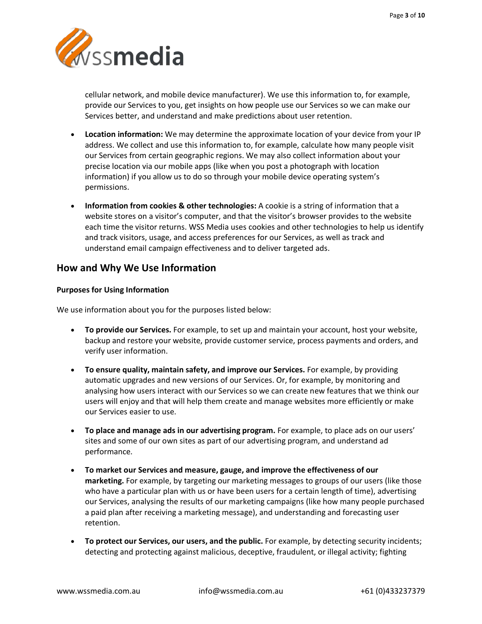

cellular network, and mobile device manufacturer). We use this information to, for example, provide our Services to you, get insights on how people use our Services so we can make our Services better, and understand and make predictions about user retention.

- **Location information:** We may determine the approximate location of your device from your IP address. We collect and use this information to, for example, calculate how many people visit our Services from certain geographic regions. We may also collect information about your precise location via our mobile apps (like when you post a photograph with location information) if you allow us to do so through your mobile device operating system's permissions.
- **Information from cookies & other technologies:** A cookie is a string of information that a website stores on a visitor's computer, and that the visitor's browser provides to the website each time the visitor returns. WSS Media uses cookies and other technologies to help us identify and track visitors, usage, and access preferences for our Services, as well as track and understand email campaign effectiveness and to deliver targeted ads.

### **How and Why We Use Information**

### **Purposes for Using Information**

We use information about you for the purposes listed below:

- **To provide our Services.** For example, to set up and maintain your account, host your website, backup and restore your website, provide customer service, process payments and orders, and verify user information.
- **To ensure quality, maintain safety, and improve our Services.** For example, by providing automatic upgrades and new versions of our Services. Or, for example, by monitoring and analysing how users interact with our Services so we can create new features that we think our users will enjoy and that will help them create and manage websites more efficiently or make our Services easier to use.
- **To place and manage ads in our advertising program.** For example, to place ads on our users' sites and some of our own sites as part of our advertising program, and understand ad performance.
- **To market our Services and measure, gauge, and improve the effectiveness of our marketing.** For example, by targeting our marketing messages to groups of our users (like those who have a particular plan with us or have been users for a certain length of time), advertising our Services, analysing the results of our marketing campaigns (like how many people purchased a paid plan after receiving a marketing message), and understanding and forecasting user retention.
- **To protect our Services, our users, and the public.** For example, by detecting security incidents; detecting and protecting against malicious, deceptive, fraudulent, or illegal activity; fighting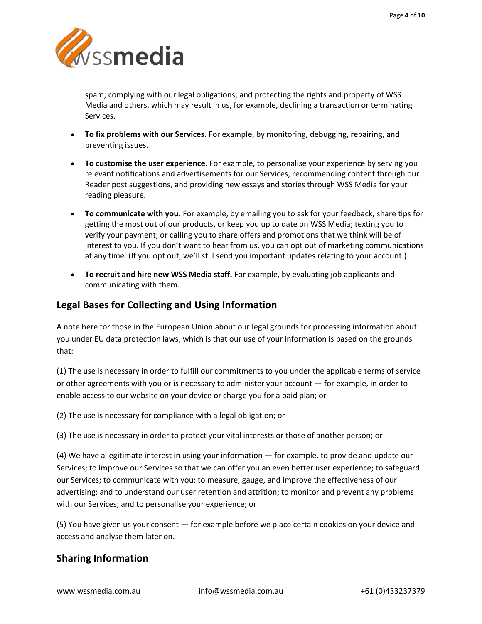

spam; complying with our legal obligations; and protecting the rights and property of WSS Media and others, which may result in us, for example, declining a transaction or terminating Services.

- **To fix problems with our Services.** For example, by monitoring, debugging, repairing, and preventing issues.
- **To customise the user experience.** For example, to personalise your experience by serving you relevant notifications and advertisements for our Services, recommending content through our Reader post suggestions, and providing new essays and stories through WSS Media for your reading pleasure.
- **To communicate with you.** For example, by emailing you to ask for your feedback, share tips for getting the most out of our products, or keep you up to date on WSS Media; texting you to verify your payment; or calling you to share offers and promotions that we think will be of interest to you. If you don't want to hear from us, you can opt out of marketing communications at any time. (If you opt out, we'll still send you important updates relating to your account.)
- **To recruit and hire new WSS Media staff.** For example, by evaluating job applicants and communicating with them.

# **Legal Bases for Collecting and Using Information**

A note here for those in the European Union about our legal grounds for processing information about you under EU data protection laws, which is that our use of your information is based on the grounds that:

(1) The use is necessary in order to fulfill our commitments to you under the applicable terms of service or other agreements with you or is necessary to administer your account — for example, in order to enable access to our website on your device or charge you for a paid plan; or

(2) The use is necessary for compliance with a legal obligation; or

(3) The use is necessary in order to protect your vital interests or those of another person; or

(4) We have a legitimate interest in using your information — for example, to provide and update our Services; to improve our Services so that we can offer you an even better user experience; to safeguard our Services; to communicate with you; to measure, gauge, and improve the effectiveness of our advertising; and to understand our user retention and attrition; to monitor and prevent any problems with our Services; and to personalise your experience; or

(5) You have given us your consent — for example before we place certain cookies on your device and access and analyse them later on.

# **Sharing Information**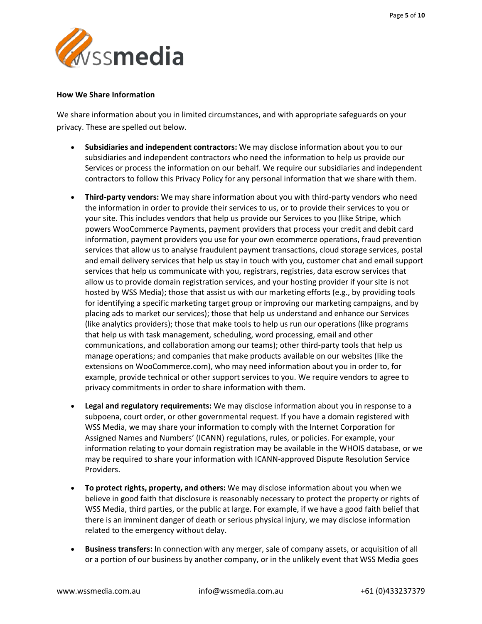

#### **How We Share Information**

We share information about you in limited circumstances, and with appropriate safeguards on your privacy. These are spelled out below.

- **Subsidiaries and independent contractors:** We may disclose information about you to our subsidiaries and independent contractors who need the information to help us provide our Services or process the information on our behalf. We require our subsidiaries and independent contractors to follow this Privacy Policy for any personal information that we share with them.
- **Third-party vendors:** We may share information about you with third-party vendors who need the information in order to provide their services to us, or to provide their services to you or your site. This includes vendors that help us provide our Services to you (like Stripe, which powers WooCommerce Payments, payment providers that process your credit and debit card information, payment providers you use for your own ecommerce operations, fraud prevention services that allow us to analyse fraudulent payment transactions, cloud storage services, postal and email delivery services that help us stay in touch with you, customer chat and email support services that help us communicate with you, registrars, registries, data escrow services that allow us to provide domain registration services, and your hosting provider if your site is not hosted by WSS Media); those that assist us with our marketing efforts (e.g., by providing tools for identifying a specific marketing target group or improving our marketing campaigns, and by placing ads to market our services); those that help us understand and enhance our Services (like analytics providers); those that make tools to help us run our operations (like programs that help us with task management, scheduling, word processing, email and other communications, and collaboration among our teams); other third-party tools that help us manage operations; and companies that make products available on our websites (like the extensions on WooCommerce.com), who may need information about you in order to, for example, provide technical or other support services to you. We require vendors to agree to privacy commitments in order to share information with them.
- **Legal and regulatory requirements:** We may disclose information about you in response to a subpoena, court order, or other governmental request. If you have a domain registered with WSS Media, we may share your information to comply with the Internet Corporation for Assigned Names and Numbers' (ICANN) regulations, rules, or policies. For example, your information relating to your domain registration may be available in the WHOIS database, or we may be required to share your information with ICANN-approved Dispute Resolution Service Providers.
- **To protect rights, property, and others:** We may disclose information about you when we believe in good faith that disclosure is reasonably necessary to protect the property or rights of WSS Media, third parties, or the public at large. For example, if we have a good faith belief that there is an imminent danger of death or serious physical injury, we may disclose information related to the emergency without delay.
- **Business transfers:** In connection with any merger, sale of company assets, or acquisition of all or a portion of our business by another company, or in the unlikely event that WSS Media goes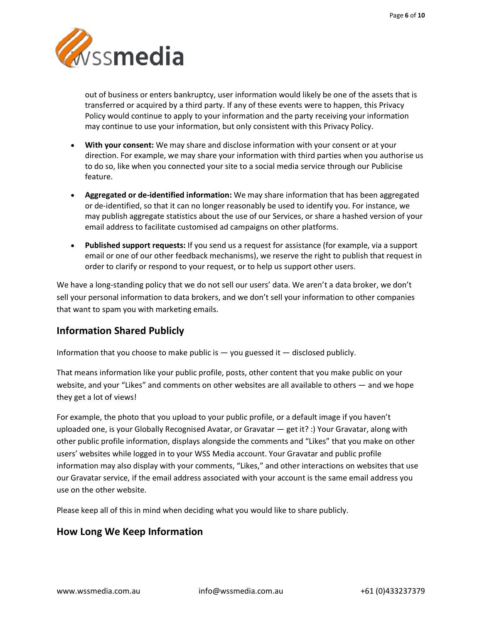

out of business or enters bankruptcy, user information would likely be one of the assets that is transferred or acquired by a third party. If any of these events were to happen, this Privacy Policy would continue to apply to your information and the party receiving your information may continue to use your information, but only consistent with this Privacy Policy.

- **With your consent:** We may share and disclose information with your consent or at your direction. For example, we may share your information with third parties when you authorise us to do so, like when you connected your site to a social media service through our Publicise feature.
- **Aggregated or de-identified information:** We may share information that has been aggregated or de-identified, so that it can no longer reasonably be used to identify you. For instance, we may publish aggregate statistics about the use of our Services, or share a hashed version of your email address to facilitate customised ad campaigns on other platforms.
- **Published support requests:** If you send us a request for assistance (for example, via a support email or one of our other feedback mechanisms), we reserve the right to publish that request in order to clarify or respond to your request, or to help us support other users.

We have a long-standing policy that we do not sell our users' data. We aren't a data broker, we don't sell your personal information to data brokers, and we don't sell your information to other companies that want to spam you with marketing emails.

# **Information Shared Publicly**

Information that you choose to make public is  $-$  you guessed it  $-$  disclosed publicly.

That means information like your public profile, posts, other content that you make public on your website, and your "Likes" and comments on other websites are all available to others — and we hope they get a lot of views!

For example, the photo that you upload to your public profile, or a default image if you haven't uploaded one, is your Globally Recognised Avatar, or Gravatar — get it? :) Your Gravatar, along with other public profile information, displays alongside the comments and "Likes" that you make on other users' websites while logged in to your WSS Media account. Your Gravatar and public profile information may also display with your comments, "Likes," and other interactions on websites that use our Gravatar service, if the email address associated with your account is the same email address you use on the other website.

Please keep all of this in mind when deciding what you would like to share publicly.

# **How Long We Keep Information**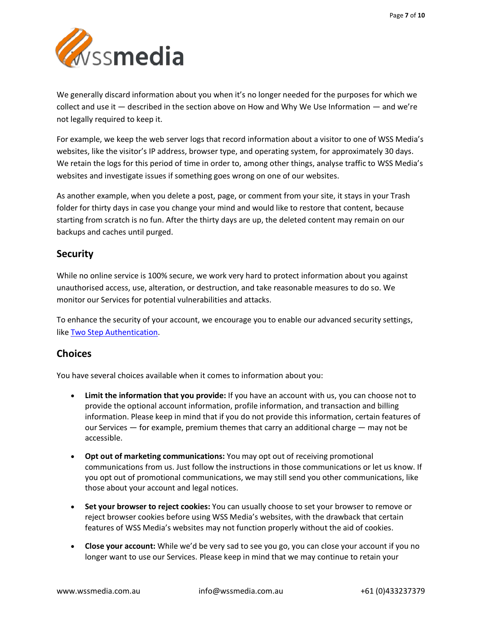

We generally discard information about you when it's no longer needed for the purposes for which we collect and use it — described in the section above on How and Why We Use Information — and we're not legally required to keep it.

For example, we keep the web server logs that record information about a visitor to one of WSS Media's websites, like the visitor's IP address, browser type, and operating system, for approximately 30 days. We retain the logs for this period of time in order to, among other things, analyse traffic to WSS Media's websites and investigate issues if something goes wrong on one of our websites.

As another example, when you delete a post, page, or comment from your site, it stays in your Trash folder for thirty days in case you change your mind and would like to restore that content, because starting from scratch is no fun. After the thirty days are up, the deleted content may remain on our backups and caches until purged.

### **Security**

While no online service is 100% secure, we work very hard to protect information about you against unauthorised access, use, alteration, or destruction, and take reasonable measures to do so. We monitor our Services for potential vulnerabilities and attacks.

To enhance the security of your account, we encourage you to enable our advanced security settings, like [Two Step Authentication.](https://en.support.wordpress.com/security/two-step-authentication/)

# **Choices**

You have several choices available when it comes to information about you:

- **Limit the information that you provide:** If you have an account with us, you can choose not to provide the optional account information, profile information, and transaction and billing information. Please keep in mind that if you do not provide this information, certain features of our Services — for example, premium themes that carry an additional charge — may not be accessible.
- **Opt out of marketing communications:** You may opt out of receiving promotional communications from us. Just follow the instructions in those communications or let us know. If you opt out of promotional communications, we may still send you other communications, like those about your account and legal notices.
- **Set your browser to reject cookies:** You can usually choose to set your browser to remove or reject browser cookies before using WSS Media's websites, with the drawback that certain features of WSS Media's websites may not function properly without the aid of cookies.
- **Close your account:** While we'd be very sad to see you go, you can close your account if you no longer want to use our Services. Please keep in mind that we may continue to retain your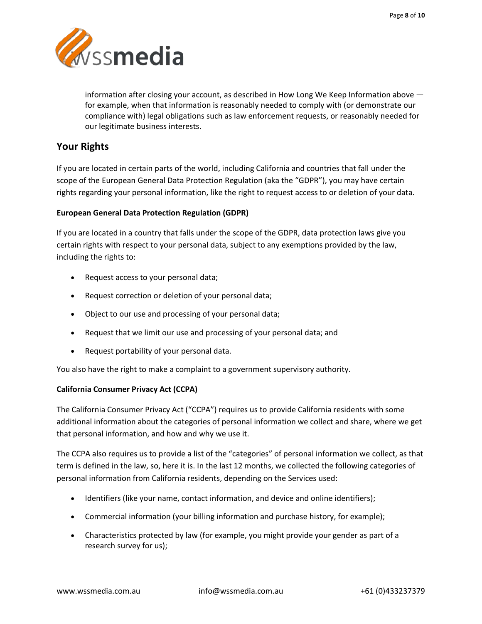

information after closing your account, as described in How Long We Keep Information above for example, when that information is reasonably needed to comply with (or demonstrate our compliance with) legal obligations such as law enforcement requests, or reasonably needed for our legitimate business interests.

# **Your Rights**

If you are located in certain parts of the world, including California and countries that fall under the scope of the European General Data Protection Regulation (aka the "GDPR"), you may have certain rights regarding your personal information, like the right to request access to or deletion of your data.

### **European General Data Protection Regulation (GDPR)**

If you are located in a country that falls under the scope of the GDPR, data protection laws give you certain rights with respect to your personal data, subject to any exemptions provided by the law, including the rights to:

- Request access to your personal data;
- Request correction or deletion of your personal data;
- Object to our use and processing of your personal data;
- Request that we limit our use and processing of your personal data; and
- Request portability of your personal data.

You also have the right to make a complaint to a government supervisory authority.

### **California Consumer Privacy Act (CCPA)**

The California Consumer Privacy Act ("CCPA") requires us to provide California residents with some additional information about the categories of personal information we collect and share, where we get that personal information, and how and why we use it.

The CCPA also requires us to provide a list of the "categories" of personal information we collect, as that term is defined in the law, so, here it is. In the last 12 months, we collected the following categories of personal information from California residents, depending on the Services used:

- Identifiers (like your name, contact information, and device and online identifiers);
- Commercial information (your billing information and purchase history, for example);
- Characteristics protected by law (for example, you might provide your gender as part of a research survey for us);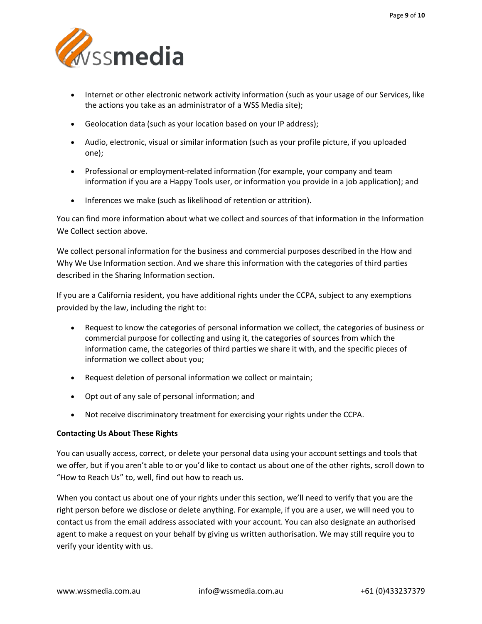

- Internet or other electronic network activity information (such as your usage of our Services, like the actions you take as an administrator of a WSS Media site);
- Geolocation data (such as your location based on your IP address);
- Audio, electronic, visual or similar information (such as your profile picture, if you uploaded one);
- Professional or employment-related information (for example, your company and team information if you are a Happy Tools user, or information you provide in a job application); and
- Inferences we make (such as likelihood of retention or attrition).

You can find more information about what we collect and sources of that information in the Information We Collect section above.

We collect personal information for the business and commercial purposes described in the How and Why We Use Information section. And we share this information with the categories of third parties described in the Sharing Information section.

If you are a California resident, you have additional rights under the CCPA, subject to any exemptions provided by the law, including the right to:

- Request to know the categories of personal information we collect, the categories of business or commercial purpose for collecting and using it, the categories of sources from which the information came, the categories of third parties we share it with, and the specific pieces of information we collect about you;
- Request deletion of personal information we collect or maintain;
- Opt out of any sale of personal information; and
- Not receive discriminatory treatment for exercising your rights under the CCPA.

### **Contacting Us About These Rights**

You can usually access, correct, or delete your personal data using your account settings and tools that we offer, but if you aren't able to or you'd like to contact us about one of the other rights, scroll down to "How to Reach Us" to, well, find out how to reach us.

When you contact us about one of your rights under this section, we'll need to verify that you are the right person before we disclose or delete anything. For example, if you are a user, we will need you to contact us from the email address associated with your account. You can also designate an authorised agent to make a request on your behalf by giving us written authorisation. We may still require you to verify your identity with us.